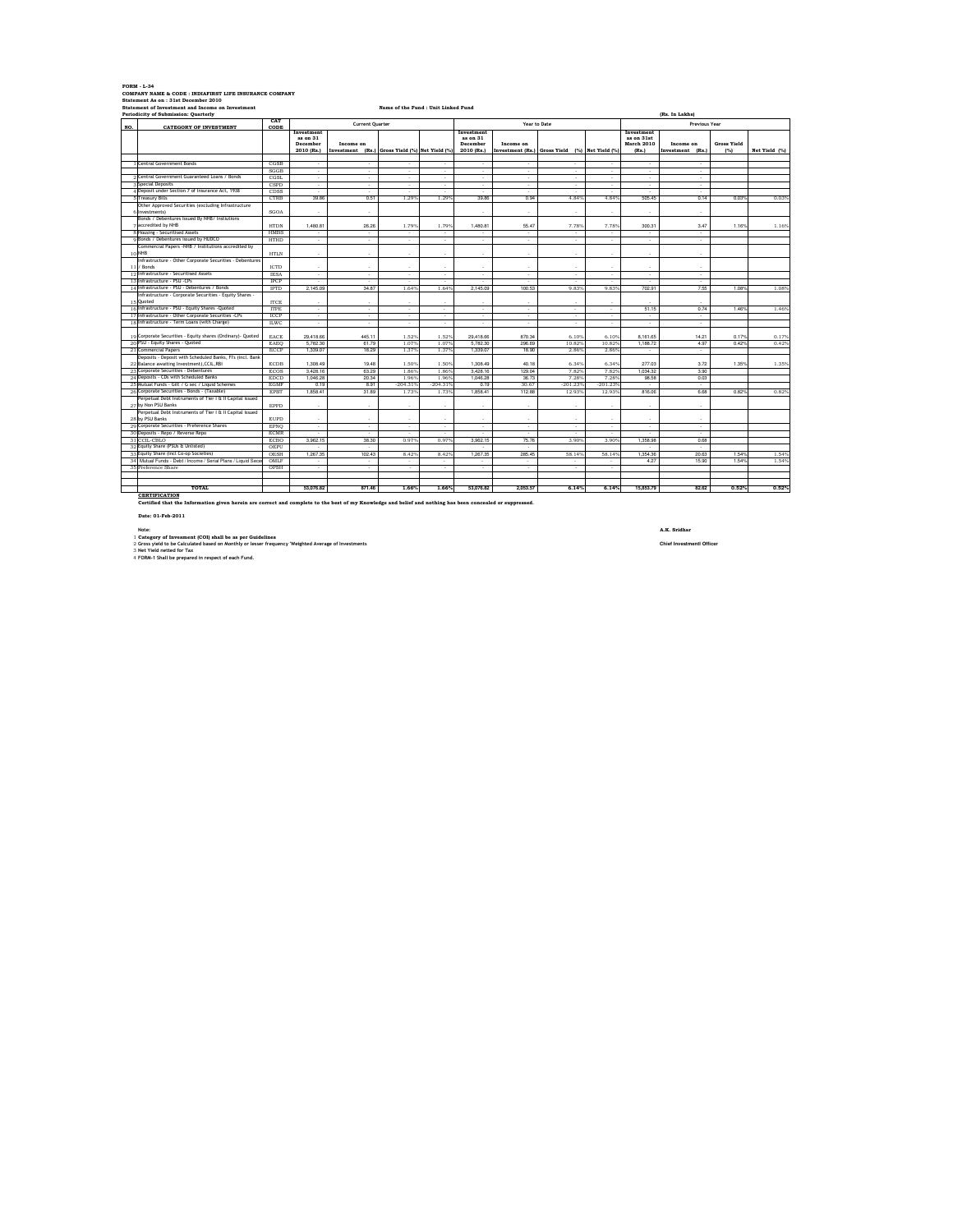| Statement As on: 31st December 2010<br>Name of the Fund : Unit Linked Fund<br>Statement of Investment and Income on Investment<br><b>Periodicity of Submission: Quarterly</b><br>(Rs. In Lakhs)<br>CAT<br><b>Current Quarter</b><br>Year to Date<br><b>Previous Year</b><br>NO.<br><b>CATEGORY OF INVESTMENT</b><br>CODE<br>Investment<br>Investment<br>Investment<br>as on 31<br>as on 31<br>as on 31st<br>March 2010<br><b>Gross Yield</b><br>December<br>Income on<br>December<br>Income on<br>Income on<br>(Rs.) Gross Yield (%) Net Yield (%<br>2010 (Rs.)<br>Investment (Rs.) Gross Yield (%) Net Yield (%<br>Net Yield (%)<br>2010 (Rs.)<br>Investment<br>(Rs.)<br>Investment<br>(Rs.)<br>(%)<br>Central Government Bonds<br>CGSB<br>×<br>÷<br>÷.<br>×<br>×<br>×<br>۰.<br>٠<br>SGGB<br>$\sim$<br>$\sim$<br>×<br>$\sim$<br>$\sim$<br>$\sim$<br>$\overline{\phantom{a}}$<br>$\sim$<br>$\sim$<br>$\sim$<br>2 Central Government Guaranteed Loans / Bonds<br>CGSL<br>×.<br>۰.<br>i.<br>$\sim$<br>×<br>$\sim$<br>$\sim$<br>÷.<br>$\sim$<br>i.<br>3 Special Deposits<br>CSPD<br>$\sim$<br>$\sim$<br>$\sim$<br>$\sim$<br>$\sim$<br>$\sim$<br>$\sim$<br>$\sim$<br>$\sim$<br>$\sim$<br>4 Deposit under Section 7 of Insurance Act, 1938<br>CDSS<br>$\sim$<br>$\sim$<br>$\sim$<br>$\sim$<br>$\sim$<br>$\sim$<br>a.<br>$\sim$<br>$\sim$<br>$\sim$<br><b>S Treasury Bills</b><br>39.86<br>1.297<br>505.45<br><b>CTRB</b><br>0.51<br>1.29%<br>39.86<br>0.94<br>4.84%<br>4.84%<br>0.14<br>0.03%<br>0.03%<br>Other Approved Securities (excluding Infrastructure<br>6 Investments)<br><b>SGOA</b><br>×.<br>÷<br>÷<br>÷.<br>÷.<br>۰.<br>۰.<br>÷<br>Bonds / Debentures Issued By NHB/ Instiutions<br>7 accredited by NHB<br><b>HTDN</b><br>1.480.81<br>26.26<br>1.79%<br>1,480.81<br>55.47<br>7.78%<br>300.31<br>1.16%<br>1.79%<br>7.78%<br>3.47<br>1.16%<br>8 Housing - Securitised Assets<br>HMBS<br>$\sim$<br>×<br>÷<br>×<br>×.<br>٠<br>×,<br>×<br>۰.<br>۰.<br>9 Bonds / Debentures issued by HUDCO<br><b>HTHD</b><br>$\sim$<br>$\sim$<br>$\sim$<br>$\sim$<br>$\sim$<br>$\sim$<br>$\sim$<br>$\sim$<br>$\sim$<br>$\sim$<br>Commercial Papers -NHB / Institutions accredited by<br>10 NHB<br><b>HTLN</b><br>÷.<br>×<br>×<br>٠<br>٠<br>$\sim$<br>×.<br>۰.<br>$\sim$<br>٠<br>Infrastructure - Other Corporate Securities - Debentures<br>11 / Bonds<br>ICTD<br>×.<br>÷<br>×.<br>÷<br>×<br>÷.<br>۰.<br>÷<br>12 Infrastructure - Securitised Assets<br><b>IESA</b><br>×<br>$\sim$<br>×<br>$\sim$<br>×,<br>×<br>$\overline{\phantom{a}}$<br>$\sim$<br>×<br>×<br>13 Infrastructure - PSU -CPs<br>IPCP<br>τ<br>7<br>÷<br>7<br>- 1<br>$\sim$<br>۰.<br>×.<br>۰.<br>۰.<br>14 Infrastructure - PSU - Debentures / Bonds<br>702.91<br>2.145.09<br>34.87<br>1.64%<br>1.64%<br>2.145.09<br>100.53<br>9.83%<br>9.83<br>7.55<br>1.08%<br>1.08%<br><b>IPTD</b><br>Infrastructure - Corporate Securities - Equity Shares -<br>15 Quoted<br><b>ITCE</b><br>ä,<br>×<br>٠<br>16 Infrastructure - PSU - Equity Shares -Quoted<br><b>ITPE</b><br>51.15<br>0.74<br>1.46%<br>1.46%<br>$\sim$<br>$\sim$<br>$\sim$<br>×<br>$\sim$<br>i.<br>÷.<br>÷.<br>17 Infrastructure - Other Corporate Securities -CPs<br><b>ICCP</b><br>×<br>×.<br>$\sim$<br>×<br>×,<br>٠<br>$\sim$<br>٠<br>٠<br>$\sim$<br><b>ILWC</b><br>18 Infrastructure - Term Loans (with Charge)<br>$\sim$<br>$\sim$<br>$\sim$<br>$\sim$<br>×<br>$\sim$<br>$\sim$<br>$\sim$<br>$\sim$<br>$\sim$<br>19 Corporate Securities - Equity shares (Ordinary)- Quoted<br>EACE<br>29.418.66<br>445.11<br>1.52%<br>1.52%<br>29.418.66<br>870.34<br>6.10%<br>6.10%<br>8.161.65<br>14.21<br>0.17%<br>0.17%<br>20 PSU - Equity Shares - Quoted<br><b>EAEO</b><br>5 782 30<br>61.79<br>1.07%<br>1.07%<br>5.782.30<br>296.69<br>10.82%<br>10.825<br>118872<br>497<br>0.42%<br>0.42%<br>21 Commercial Papers<br>ECCP<br>18.29<br>1.37%<br>1.37<br>1.339.07<br>1.339.07<br>18.90<br>2.86%<br>2.86%<br>×<br>×<br>Deposits - Deposit with Scheduled Banks, Fi's (incl. Bank<br>22 Balance awaiting Investment), CCIL, RBI<br>ECDB<br>1,308.49<br>19.48<br>1.50%<br>1.50%<br>1,308.49<br>40.18<br>6.349<br>6.34%<br>277.03<br>3.72<br>1.35%<br>1.35%<br>23 Corporate Securities - Debentures<br>ECOS<br>3.428.16<br>63.29<br>1.86%<br>1.867<br>3.428.16<br>129.04<br>7.82%<br>7.82<br>1.034.32<br>3.90<br>24 Deposits - CDs with Scheduled Banks<br><b>EDCD</b><br>1.046.28<br>20.34<br>1.96%<br>1.967<br>1.046.28<br>36.73<br>7.28%<br>7.28<br>98.58<br>0.03<br>25 Mutual Funds - Gilt / G sec / Liquid Schemes<br>8.91<br>$-204.319$<br>$-204.31$<br>30.67<br>$-201.23$<br>$-201.23$<br>EGMF<br>0.19<br>0.19<br>٠<br>۰.<br>26 Corporate Securities - Bonds - (Taxable)<br>EPBT<br>1,858.41<br>31.89<br>1.73%<br>1.73%<br>1,858.41<br>112.88<br>12.93%<br>12.93%<br>816.06<br>6.68<br>0.82%<br>0.82%<br>Perpetual Debt Instruments of Tier I & II Capital issued<br>27 by Non PSU Banks<br>EPPD<br>. п.<br>$\sim$<br>÷<br>۰.<br>۰.<br>÷<br>$\overline{\phantom{a}}$<br>×.<br>۰.<br>÷<br>Perpetual Debt Instruments of Tier I & II Capital issued<br>28 by PSU Banks<br>EUPD<br>×.<br>÷<br>۰.<br>÷<br>÷<br>$\sim$<br>÷.<br>۰.<br>۰.<br>÷<br>29 Corporate Securities - Preference Shares<br>EPNO<br>$\sim$<br>×<br>$\sim$<br>$\sim$<br>٠<br>$\sim$<br>٠<br>$\sim$<br>$\sim$<br>×<br>30 Deposits - Repo / Reverse Repo<br>ECMR<br>$\sim$<br>i.<br>×<br>$\sim$<br>$\sim$<br>и.<br>$\sim$<br>a.<br>$\sim$<br>۰.<br>3.962.15<br>38.30<br>0.97%<br>0.97<br>3.962.15<br>1.358.98<br>31 CCIL-CBLO<br>ECBO<br>75.76<br>3.90%<br>3.90%<br>0.68<br>32 Equity Share (PSUs & Unlisted)<br>OEPU<br>×<br>÷<br>×<br>×<br>33 Equity Share (incl Co-op Societies)<br>OESH<br>1.267.35<br>102.43<br>1.267.35<br>285.45<br>58.14%<br>58.14%<br>1.354.36<br>20.63<br>1.54%<br>8.42%<br>8.42%<br>1.54%<br>34 Mutual Funds - Debt / Income / Serial Plans / Liquid Sec<br>OMLF<br>4.27<br>15.90<br>1.54%<br>1.54%<br>×.<br>÷<br>$\overline{\phantom{a}}$<br>٠<br>i,<br>×<br>35 Preference Share<br>OPSH<br>$\sim$<br>$\sim$<br>$\sim$<br>$\sim$<br>$\sim$<br>$\sim$<br>$\sim$<br>$\sim$<br>TOTAL.<br>871.46<br>82.62<br>0.52%<br>53,076,82<br>1.669<br>53,076,82<br>2,053.57<br>15,853,79<br>0.52%<br>1.66%<br>6.14%<br>6.14%<br><b>CERTIFICATION</b> | <b>FORM - L-34</b>                                      |  |  |  |  |  |  |  |  |  |  |  |  |  |  |  |  |  |
|-----------------------------------------------------------------------------------------------------------------------------------------------------------------------------------------------------------------------------------------------------------------------------------------------------------------------------------------------------------------------------------------------------------------------------------------------------------------------------------------------------------------------------------------------------------------------------------------------------------------------------------------------------------------------------------------------------------------------------------------------------------------------------------------------------------------------------------------------------------------------------------------------------------------------------------------------------------------------------------------------------------------------------------------------------------------------------------------------------------------------------------------------------------------------------------------------------------------------------------------------------------------------------------------------------------------------------------------------------------------------------------------------------------------------------------------------------------------------------------------------------------------------------------------------------------------------------------------------------------------------------------------------------------------------------------------------------------------------------------------------------------------------------------------------------------------------------------------------------------------------------------------------------------------------------------------------------------------------------------------------------------------------------------------------------------------------------------------------------------------------------------------------------------------------------------------------------------------------------------------------------------------------------------------------------------------------------------------------------------------------------------------------------------------------------------------------------------------------------------------------------------------------------------------------------------------------------------------------------------------------------------------------------------------------------------------------------------------------------------------------------------------------------------------------------------------------------------------------------------------------------------------------------------------------------------------------------------------------------------------------------------------------------------------------------------------------------------------------------------------------------------------------------------------------------------------------------------------------------------------------------------------------------------------------------------------------------------------------------------------------------------------------------------------------------------------------------------------------------------------------------------------------------------------------------------------------------------------------------------------------------------------------------------------------------------------------------------------------------------------------------------------------------------------------------------------------------------------------------------------------------------------------------------------------------------------------------------------------------------------------------------------------------------------------------------------------------------------------------------------------------------------------------------------------------------------------------------------------------------------------------------------------------------------------------------------------------------------------------------------------------------------------------------------------------------------------------------------------------------------------------------------------------------------------------------------------------------------------------------------------------------------------------------------------------------------------------------------------------------------------------------------------------------------------------------------------------------------------------------------------------------------------------------------------------------------------------------------------------------------------------------------------------------------------------------------------------------------------------------------------------------------------------------------------------------------------------------------------------------------------------------------------------------------------------------------------------------------------------------------------------------------------------------------------------------------------------------------------------------------------------------------------------------------------------------------------------------------------------------------------------------------------------------------------------------------------------------------------------------------------------------------------------------------------------------------------------------------------------------------------------------------------------------------------------------------------------------------------------------------------------------------------------------------------------------------------------------------------------------------------------------------------------------------------------------------------------------------------------------|---------------------------------------------------------|--|--|--|--|--|--|--|--|--|--|--|--|--|--|--|--|--|
|                                                                                                                                                                                                                                                                                                                                                                                                                                                                                                                                                                                                                                                                                                                                                                                                                                                                                                                                                                                                                                                                                                                                                                                                                                                                                                                                                                                                                                                                                                                                                                                                                                                                                                                                                                                                                                                                                                                                                                                                                                                                                                                                                                                                                                                                                                                                                                                                                                                                                                                                                                                                                                                                                                                                                                                                                                                                                                                                                                                                                                                                                                                                                                                                                                                                                                                                                                                                                                                                                                                                                                                                                                                                                                                                                                                                                                                                                                                                                                                                                                                                                                                                                                                                                                                                                                                                                                                                                                                                                                                                                                                                                                                                                                                                                                                                                                                                                                                                                                                                                                                                                                                                                                                                                                                                                                                                                                                                                                                                                                                                                                                                                                                                                                                                                                                                                                                                                                                                                                                                                                                                                                                                                                                                                                   | COMPANY NAME & CODE : INDIAFIRST LIFE INSURANCE COMPANY |  |  |  |  |  |  |  |  |  |  |  |  |  |  |  |  |  |
|                                                                                                                                                                                                                                                                                                                                                                                                                                                                                                                                                                                                                                                                                                                                                                                                                                                                                                                                                                                                                                                                                                                                                                                                                                                                                                                                                                                                                                                                                                                                                                                                                                                                                                                                                                                                                                                                                                                                                                                                                                                                                                                                                                                                                                                                                                                                                                                                                                                                                                                                                                                                                                                                                                                                                                                                                                                                                                                                                                                                                                                                                                                                                                                                                                                                                                                                                                                                                                                                                                                                                                                                                                                                                                                                                                                                                                                                                                                                                                                                                                                                                                                                                                                                                                                                                                                                                                                                                                                                                                                                                                                                                                                                                                                                                                                                                                                                                                                                                                                                                                                                                                                                                                                                                                                                                                                                                                                                                                                                                                                                                                                                                                                                                                                                                                                                                                                                                                                                                                                                                                                                                                                                                                                                                                   |                                                         |  |  |  |  |  |  |  |  |  |  |  |  |  |  |  |  |  |
|                                                                                                                                                                                                                                                                                                                                                                                                                                                                                                                                                                                                                                                                                                                                                                                                                                                                                                                                                                                                                                                                                                                                                                                                                                                                                                                                                                                                                                                                                                                                                                                                                                                                                                                                                                                                                                                                                                                                                                                                                                                                                                                                                                                                                                                                                                                                                                                                                                                                                                                                                                                                                                                                                                                                                                                                                                                                                                                                                                                                                                                                                                                                                                                                                                                                                                                                                                                                                                                                                                                                                                                                                                                                                                                                                                                                                                                                                                                                                                                                                                                                                                                                                                                                                                                                                                                                                                                                                                                                                                                                                                                                                                                                                                                                                                                                                                                                                                                                                                                                                                                                                                                                                                                                                                                                                                                                                                                                                                                                                                                                                                                                                                                                                                                                                                                                                                                                                                                                                                                                                                                                                                                                                                                                                                   |                                                         |  |  |  |  |  |  |  |  |  |  |  |  |  |  |  |  |  |
|                                                                                                                                                                                                                                                                                                                                                                                                                                                                                                                                                                                                                                                                                                                                                                                                                                                                                                                                                                                                                                                                                                                                                                                                                                                                                                                                                                                                                                                                                                                                                                                                                                                                                                                                                                                                                                                                                                                                                                                                                                                                                                                                                                                                                                                                                                                                                                                                                                                                                                                                                                                                                                                                                                                                                                                                                                                                                                                                                                                                                                                                                                                                                                                                                                                                                                                                                                                                                                                                                                                                                                                                                                                                                                                                                                                                                                                                                                                                                                                                                                                                                                                                                                                                                                                                                                                                                                                                                                                                                                                                                                                                                                                                                                                                                                                                                                                                                                                                                                                                                                                                                                                                                                                                                                                                                                                                                                                                                                                                                                                                                                                                                                                                                                                                                                                                                                                                                                                                                                                                                                                                                                                                                                                                                                   |                                                         |  |  |  |  |  |  |  |  |  |  |  |  |  |  |  |  |  |
|                                                                                                                                                                                                                                                                                                                                                                                                                                                                                                                                                                                                                                                                                                                                                                                                                                                                                                                                                                                                                                                                                                                                                                                                                                                                                                                                                                                                                                                                                                                                                                                                                                                                                                                                                                                                                                                                                                                                                                                                                                                                                                                                                                                                                                                                                                                                                                                                                                                                                                                                                                                                                                                                                                                                                                                                                                                                                                                                                                                                                                                                                                                                                                                                                                                                                                                                                                                                                                                                                                                                                                                                                                                                                                                                                                                                                                                                                                                                                                                                                                                                                                                                                                                                                                                                                                                                                                                                                                                                                                                                                                                                                                                                                                                                                                                                                                                                                                                                                                                                                                                                                                                                                                                                                                                                                                                                                                                                                                                                                                                                                                                                                                                                                                                                                                                                                                                                                                                                                                                                                                                                                                                                                                                                                                   |                                                         |  |  |  |  |  |  |  |  |  |  |  |  |  |  |  |  |  |
|                                                                                                                                                                                                                                                                                                                                                                                                                                                                                                                                                                                                                                                                                                                                                                                                                                                                                                                                                                                                                                                                                                                                                                                                                                                                                                                                                                                                                                                                                                                                                                                                                                                                                                                                                                                                                                                                                                                                                                                                                                                                                                                                                                                                                                                                                                                                                                                                                                                                                                                                                                                                                                                                                                                                                                                                                                                                                                                                                                                                                                                                                                                                                                                                                                                                                                                                                                                                                                                                                                                                                                                                                                                                                                                                                                                                                                                                                                                                                                                                                                                                                                                                                                                                                                                                                                                                                                                                                                                                                                                                                                                                                                                                                                                                                                                                                                                                                                                                                                                                                                                                                                                                                                                                                                                                                                                                                                                                                                                                                                                                                                                                                                                                                                                                                                                                                                                                                                                                                                                                                                                                                                                                                                                                                                   |                                                         |  |  |  |  |  |  |  |  |  |  |  |  |  |  |  |  |  |
|                                                                                                                                                                                                                                                                                                                                                                                                                                                                                                                                                                                                                                                                                                                                                                                                                                                                                                                                                                                                                                                                                                                                                                                                                                                                                                                                                                                                                                                                                                                                                                                                                                                                                                                                                                                                                                                                                                                                                                                                                                                                                                                                                                                                                                                                                                                                                                                                                                                                                                                                                                                                                                                                                                                                                                                                                                                                                                                                                                                                                                                                                                                                                                                                                                                                                                                                                                                                                                                                                                                                                                                                                                                                                                                                                                                                                                                                                                                                                                                                                                                                                                                                                                                                                                                                                                                                                                                                                                                                                                                                                                                                                                                                                                                                                                                                                                                                                                                                                                                                                                                                                                                                                                                                                                                                                                                                                                                                                                                                                                                                                                                                                                                                                                                                                                                                                                                                                                                                                                                                                                                                                                                                                                                                                                   |                                                         |  |  |  |  |  |  |  |  |  |  |  |  |  |  |  |  |  |
|                                                                                                                                                                                                                                                                                                                                                                                                                                                                                                                                                                                                                                                                                                                                                                                                                                                                                                                                                                                                                                                                                                                                                                                                                                                                                                                                                                                                                                                                                                                                                                                                                                                                                                                                                                                                                                                                                                                                                                                                                                                                                                                                                                                                                                                                                                                                                                                                                                                                                                                                                                                                                                                                                                                                                                                                                                                                                                                                                                                                                                                                                                                                                                                                                                                                                                                                                                                                                                                                                                                                                                                                                                                                                                                                                                                                                                                                                                                                                                                                                                                                                                                                                                                                                                                                                                                                                                                                                                                                                                                                                                                                                                                                                                                                                                                                                                                                                                                                                                                                                                                                                                                                                                                                                                                                                                                                                                                                                                                                                                                                                                                                                                                                                                                                                                                                                                                                                                                                                                                                                                                                                                                                                                                                                                   |                                                         |  |  |  |  |  |  |  |  |  |  |  |  |  |  |  |  |  |
|                                                                                                                                                                                                                                                                                                                                                                                                                                                                                                                                                                                                                                                                                                                                                                                                                                                                                                                                                                                                                                                                                                                                                                                                                                                                                                                                                                                                                                                                                                                                                                                                                                                                                                                                                                                                                                                                                                                                                                                                                                                                                                                                                                                                                                                                                                                                                                                                                                                                                                                                                                                                                                                                                                                                                                                                                                                                                                                                                                                                                                                                                                                                                                                                                                                                                                                                                                                                                                                                                                                                                                                                                                                                                                                                                                                                                                                                                                                                                                                                                                                                                                                                                                                                                                                                                                                                                                                                                                                                                                                                                                                                                                                                                                                                                                                                                                                                                                                                                                                                                                                                                                                                                                                                                                                                                                                                                                                                                                                                                                                                                                                                                                                                                                                                                                                                                                                                                                                                                                                                                                                                                                                                                                                                                                   |                                                         |  |  |  |  |  |  |  |  |  |  |  |  |  |  |  |  |  |
|                                                                                                                                                                                                                                                                                                                                                                                                                                                                                                                                                                                                                                                                                                                                                                                                                                                                                                                                                                                                                                                                                                                                                                                                                                                                                                                                                                                                                                                                                                                                                                                                                                                                                                                                                                                                                                                                                                                                                                                                                                                                                                                                                                                                                                                                                                                                                                                                                                                                                                                                                                                                                                                                                                                                                                                                                                                                                                                                                                                                                                                                                                                                                                                                                                                                                                                                                                                                                                                                                                                                                                                                                                                                                                                                                                                                                                                                                                                                                                                                                                                                                                                                                                                                                                                                                                                                                                                                                                                                                                                                                                                                                                                                                                                                                                                                                                                                                                                                                                                                                                                                                                                                                                                                                                                                                                                                                                                                                                                                                                                                                                                                                                                                                                                                                                                                                                                                                                                                                                                                                                                                                                                                                                                                                                   |                                                         |  |  |  |  |  |  |  |  |  |  |  |  |  |  |  |  |  |
|                                                                                                                                                                                                                                                                                                                                                                                                                                                                                                                                                                                                                                                                                                                                                                                                                                                                                                                                                                                                                                                                                                                                                                                                                                                                                                                                                                                                                                                                                                                                                                                                                                                                                                                                                                                                                                                                                                                                                                                                                                                                                                                                                                                                                                                                                                                                                                                                                                                                                                                                                                                                                                                                                                                                                                                                                                                                                                                                                                                                                                                                                                                                                                                                                                                                                                                                                                                                                                                                                                                                                                                                                                                                                                                                                                                                                                                                                                                                                                                                                                                                                                                                                                                                                                                                                                                                                                                                                                                                                                                                                                                                                                                                                                                                                                                                                                                                                                                                                                                                                                                                                                                                                                                                                                                                                                                                                                                                                                                                                                                                                                                                                                                                                                                                                                                                                                                                                                                                                                                                                                                                                                                                                                                                                                   |                                                         |  |  |  |  |  |  |  |  |  |  |  |  |  |  |  |  |  |
|                                                                                                                                                                                                                                                                                                                                                                                                                                                                                                                                                                                                                                                                                                                                                                                                                                                                                                                                                                                                                                                                                                                                                                                                                                                                                                                                                                                                                                                                                                                                                                                                                                                                                                                                                                                                                                                                                                                                                                                                                                                                                                                                                                                                                                                                                                                                                                                                                                                                                                                                                                                                                                                                                                                                                                                                                                                                                                                                                                                                                                                                                                                                                                                                                                                                                                                                                                                                                                                                                                                                                                                                                                                                                                                                                                                                                                                                                                                                                                                                                                                                                                                                                                                                                                                                                                                                                                                                                                                                                                                                                                                                                                                                                                                                                                                                                                                                                                                                                                                                                                                                                                                                                                                                                                                                                                                                                                                                                                                                                                                                                                                                                                                                                                                                                                                                                                                                                                                                                                                                                                                                                                                                                                                                                                   |                                                         |  |  |  |  |  |  |  |  |  |  |  |  |  |  |  |  |  |
|                                                                                                                                                                                                                                                                                                                                                                                                                                                                                                                                                                                                                                                                                                                                                                                                                                                                                                                                                                                                                                                                                                                                                                                                                                                                                                                                                                                                                                                                                                                                                                                                                                                                                                                                                                                                                                                                                                                                                                                                                                                                                                                                                                                                                                                                                                                                                                                                                                                                                                                                                                                                                                                                                                                                                                                                                                                                                                                                                                                                                                                                                                                                                                                                                                                                                                                                                                                                                                                                                                                                                                                                                                                                                                                                                                                                                                                                                                                                                                                                                                                                                                                                                                                                                                                                                                                                                                                                                                                                                                                                                                                                                                                                                                                                                                                                                                                                                                                                                                                                                                                                                                                                                                                                                                                                                                                                                                                                                                                                                                                                                                                                                                                                                                                                                                                                                                                                                                                                                                                                                                                                                                                                                                                                                                   |                                                         |  |  |  |  |  |  |  |  |  |  |  |  |  |  |  |  |  |
|                                                                                                                                                                                                                                                                                                                                                                                                                                                                                                                                                                                                                                                                                                                                                                                                                                                                                                                                                                                                                                                                                                                                                                                                                                                                                                                                                                                                                                                                                                                                                                                                                                                                                                                                                                                                                                                                                                                                                                                                                                                                                                                                                                                                                                                                                                                                                                                                                                                                                                                                                                                                                                                                                                                                                                                                                                                                                                                                                                                                                                                                                                                                                                                                                                                                                                                                                                                                                                                                                                                                                                                                                                                                                                                                                                                                                                                                                                                                                                                                                                                                                                                                                                                                                                                                                                                                                                                                                                                                                                                                                                                                                                                                                                                                                                                                                                                                                                                                                                                                                                                                                                                                                                                                                                                                                                                                                                                                                                                                                                                                                                                                                                                                                                                                                                                                                                                                                                                                                                                                                                                                                                                                                                                                                                   |                                                         |  |  |  |  |  |  |  |  |  |  |  |  |  |  |  |  |  |
|                                                                                                                                                                                                                                                                                                                                                                                                                                                                                                                                                                                                                                                                                                                                                                                                                                                                                                                                                                                                                                                                                                                                                                                                                                                                                                                                                                                                                                                                                                                                                                                                                                                                                                                                                                                                                                                                                                                                                                                                                                                                                                                                                                                                                                                                                                                                                                                                                                                                                                                                                                                                                                                                                                                                                                                                                                                                                                                                                                                                                                                                                                                                                                                                                                                                                                                                                                                                                                                                                                                                                                                                                                                                                                                                                                                                                                                                                                                                                                                                                                                                                                                                                                                                                                                                                                                                                                                                                                                                                                                                                                                                                                                                                                                                                                                                                                                                                                                                                                                                                                                                                                                                                                                                                                                                                                                                                                                                                                                                                                                                                                                                                                                                                                                                                                                                                                                                                                                                                                                                                                                                                                                                                                                                                                   |                                                         |  |  |  |  |  |  |  |  |  |  |  |  |  |  |  |  |  |
|                                                                                                                                                                                                                                                                                                                                                                                                                                                                                                                                                                                                                                                                                                                                                                                                                                                                                                                                                                                                                                                                                                                                                                                                                                                                                                                                                                                                                                                                                                                                                                                                                                                                                                                                                                                                                                                                                                                                                                                                                                                                                                                                                                                                                                                                                                                                                                                                                                                                                                                                                                                                                                                                                                                                                                                                                                                                                                                                                                                                                                                                                                                                                                                                                                                                                                                                                                                                                                                                                                                                                                                                                                                                                                                                                                                                                                                                                                                                                                                                                                                                                                                                                                                                                                                                                                                                                                                                                                                                                                                                                                                                                                                                                                                                                                                                                                                                                                                                                                                                                                                                                                                                                                                                                                                                                                                                                                                                                                                                                                                                                                                                                                                                                                                                                                                                                                                                                                                                                                                                                                                                                                                                                                                                                                   |                                                         |  |  |  |  |  |  |  |  |  |  |  |  |  |  |  |  |  |
|                                                                                                                                                                                                                                                                                                                                                                                                                                                                                                                                                                                                                                                                                                                                                                                                                                                                                                                                                                                                                                                                                                                                                                                                                                                                                                                                                                                                                                                                                                                                                                                                                                                                                                                                                                                                                                                                                                                                                                                                                                                                                                                                                                                                                                                                                                                                                                                                                                                                                                                                                                                                                                                                                                                                                                                                                                                                                                                                                                                                                                                                                                                                                                                                                                                                                                                                                                                                                                                                                                                                                                                                                                                                                                                                                                                                                                                                                                                                                                                                                                                                                                                                                                                                                                                                                                                                                                                                                                                                                                                                                                                                                                                                                                                                                                                                                                                                                                                                                                                                                                                                                                                                                                                                                                                                                                                                                                                                                                                                                                                                                                                                                                                                                                                                                                                                                                                                                                                                                                                                                                                                                                                                                                                                                                   |                                                         |  |  |  |  |  |  |  |  |  |  |  |  |  |  |  |  |  |
|                                                                                                                                                                                                                                                                                                                                                                                                                                                                                                                                                                                                                                                                                                                                                                                                                                                                                                                                                                                                                                                                                                                                                                                                                                                                                                                                                                                                                                                                                                                                                                                                                                                                                                                                                                                                                                                                                                                                                                                                                                                                                                                                                                                                                                                                                                                                                                                                                                                                                                                                                                                                                                                                                                                                                                                                                                                                                                                                                                                                                                                                                                                                                                                                                                                                                                                                                                                                                                                                                                                                                                                                                                                                                                                                                                                                                                                                                                                                                                                                                                                                                                                                                                                                                                                                                                                                                                                                                                                                                                                                                                                                                                                                                                                                                                                                                                                                                                                                                                                                                                                                                                                                                                                                                                                                                                                                                                                                                                                                                                                                                                                                                                                                                                                                                                                                                                                                                                                                                                                                                                                                                                                                                                                                                                   |                                                         |  |  |  |  |  |  |  |  |  |  |  |  |  |  |  |  |  |
|                                                                                                                                                                                                                                                                                                                                                                                                                                                                                                                                                                                                                                                                                                                                                                                                                                                                                                                                                                                                                                                                                                                                                                                                                                                                                                                                                                                                                                                                                                                                                                                                                                                                                                                                                                                                                                                                                                                                                                                                                                                                                                                                                                                                                                                                                                                                                                                                                                                                                                                                                                                                                                                                                                                                                                                                                                                                                                                                                                                                                                                                                                                                                                                                                                                                                                                                                                                                                                                                                                                                                                                                                                                                                                                                                                                                                                                                                                                                                                                                                                                                                                                                                                                                                                                                                                                                                                                                                                                                                                                                                                                                                                                                                                                                                                                                                                                                                                                                                                                                                                                                                                                                                                                                                                                                                                                                                                                                                                                                                                                                                                                                                                                                                                                                                                                                                                                                                                                                                                                                                                                                                                                                                                                                                                   |                                                         |  |  |  |  |  |  |  |  |  |  |  |  |  |  |  |  |  |
|                                                                                                                                                                                                                                                                                                                                                                                                                                                                                                                                                                                                                                                                                                                                                                                                                                                                                                                                                                                                                                                                                                                                                                                                                                                                                                                                                                                                                                                                                                                                                                                                                                                                                                                                                                                                                                                                                                                                                                                                                                                                                                                                                                                                                                                                                                                                                                                                                                                                                                                                                                                                                                                                                                                                                                                                                                                                                                                                                                                                                                                                                                                                                                                                                                                                                                                                                                                                                                                                                                                                                                                                                                                                                                                                                                                                                                                                                                                                                                                                                                                                                                                                                                                                                                                                                                                                                                                                                                                                                                                                                                                                                                                                                                                                                                                                                                                                                                                                                                                                                                                                                                                                                                                                                                                                                                                                                                                                                                                                                                                                                                                                                                                                                                                                                                                                                                                                                                                                                                                                                                                                                                                                                                                                                                   |                                                         |  |  |  |  |  |  |  |  |  |  |  |  |  |  |  |  |  |
|                                                                                                                                                                                                                                                                                                                                                                                                                                                                                                                                                                                                                                                                                                                                                                                                                                                                                                                                                                                                                                                                                                                                                                                                                                                                                                                                                                                                                                                                                                                                                                                                                                                                                                                                                                                                                                                                                                                                                                                                                                                                                                                                                                                                                                                                                                                                                                                                                                                                                                                                                                                                                                                                                                                                                                                                                                                                                                                                                                                                                                                                                                                                                                                                                                                                                                                                                                                                                                                                                                                                                                                                                                                                                                                                                                                                                                                                                                                                                                                                                                                                                                                                                                                                                                                                                                                                                                                                                                                                                                                                                                                                                                                                                                                                                                                                                                                                                                                                                                                                                                                                                                                                                                                                                                                                                                                                                                                                                                                                                                                                                                                                                                                                                                                                                                                                                                                                                                                                                                                                                                                                                                                                                                                                                                   |                                                         |  |  |  |  |  |  |  |  |  |  |  |  |  |  |  |  |  |
|                                                                                                                                                                                                                                                                                                                                                                                                                                                                                                                                                                                                                                                                                                                                                                                                                                                                                                                                                                                                                                                                                                                                                                                                                                                                                                                                                                                                                                                                                                                                                                                                                                                                                                                                                                                                                                                                                                                                                                                                                                                                                                                                                                                                                                                                                                                                                                                                                                                                                                                                                                                                                                                                                                                                                                                                                                                                                                                                                                                                                                                                                                                                                                                                                                                                                                                                                                                                                                                                                                                                                                                                                                                                                                                                                                                                                                                                                                                                                                                                                                                                                                                                                                                                                                                                                                                                                                                                                                                                                                                                                                                                                                                                                                                                                                                                                                                                                                                                                                                                                                                                                                                                                                                                                                                                                                                                                                                                                                                                                                                                                                                                                                                                                                                                                                                                                                                                                                                                                                                                                                                                                                                                                                                                                                   |                                                         |  |  |  |  |  |  |  |  |  |  |  |  |  |  |  |  |  |
|                                                                                                                                                                                                                                                                                                                                                                                                                                                                                                                                                                                                                                                                                                                                                                                                                                                                                                                                                                                                                                                                                                                                                                                                                                                                                                                                                                                                                                                                                                                                                                                                                                                                                                                                                                                                                                                                                                                                                                                                                                                                                                                                                                                                                                                                                                                                                                                                                                                                                                                                                                                                                                                                                                                                                                                                                                                                                                                                                                                                                                                                                                                                                                                                                                                                                                                                                                                                                                                                                                                                                                                                                                                                                                                                                                                                                                                                                                                                                                                                                                                                                                                                                                                                                                                                                                                                                                                                                                                                                                                                                                                                                                                                                                                                                                                                                                                                                                                                                                                                                                                                                                                                                                                                                                                                                                                                                                                                                                                                                                                                                                                                                                                                                                                                                                                                                                                                                                                                                                                                                                                                                                                                                                                                                                   |                                                         |  |  |  |  |  |  |  |  |  |  |  |  |  |  |  |  |  |
|                                                                                                                                                                                                                                                                                                                                                                                                                                                                                                                                                                                                                                                                                                                                                                                                                                                                                                                                                                                                                                                                                                                                                                                                                                                                                                                                                                                                                                                                                                                                                                                                                                                                                                                                                                                                                                                                                                                                                                                                                                                                                                                                                                                                                                                                                                                                                                                                                                                                                                                                                                                                                                                                                                                                                                                                                                                                                                                                                                                                                                                                                                                                                                                                                                                                                                                                                                                                                                                                                                                                                                                                                                                                                                                                                                                                                                                                                                                                                                                                                                                                                                                                                                                                                                                                                                                                                                                                                                                                                                                                                                                                                                                                                                                                                                                                                                                                                                                                                                                                                                                                                                                                                                                                                                                                                                                                                                                                                                                                                                                                                                                                                                                                                                                                                                                                                                                                                                                                                                                                                                                                                                                                                                                                                                   |                                                         |  |  |  |  |  |  |  |  |  |  |  |  |  |  |  |  |  |
|                                                                                                                                                                                                                                                                                                                                                                                                                                                                                                                                                                                                                                                                                                                                                                                                                                                                                                                                                                                                                                                                                                                                                                                                                                                                                                                                                                                                                                                                                                                                                                                                                                                                                                                                                                                                                                                                                                                                                                                                                                                                                                                                                                                                                                                                                                                                                                                                                                                                                                                                                                                                                                                                                                                                                                                                                                                                                                                                                                                                                                                                                                                                                                                                                                                                                                                                                                                                                                                                                                                                                                                                                                                                                                                                                                                                                                                                                                                                                                                                                                                                                                                                                                                                                                                                                                                                                                                                                                                                                                                                                                                                                                                                                                                                                                                                                                                                                                                                                                                                                                                                                                                                                                                                                                                                                                                                                                                                                                                                                                                                                                                                                                                                                                                                                                                                                                                                                                                                                                                                                                                                                                                                                                                                                                   |                                                         |  |  |  |  |  |  |  |  |  |  |  |  |  |  |  |  |  |
|                                                                                                                                                                                                                                                                                                                                                                                                                                                                                                                                                                                                                                                                                                                                                                                                                                                                                                                                                                                                                                                                                                                                                                                                                                                                                                                                                                                                                                                                                                                                                                                                                                                                                                                                                                                                                                                                                                                                                                                                                                                                                                                                                                                                                                                                                                                                                                                                                                                                                                                                                                                                                                                                                                                                                                                                                                                                                                                                                                                                                                                                                                                                                                                                                                                                                                                                                                                                                                                                                                                                                                                                                                                                                                                                                                                                                                                                                                                                                                                                                                                                                                                                                                                                                                                                                                                                                                                                                                                                                                                                                                                                                                                                                                                                                                                                                                                                                                                                                                                                                                                                                                                                                                                                                                                                                                                                                                                                                                                                                                                                                                                                                                                                                                                                                                                                                                                                                                                                                                                                                                                                                                                                                                                                                                   |                                                         |  |  |  |  |  |  |  |  |  |  |  |  |  |  |  |  |  |
|                                                                                                                                                                                                                                                                                                                                                                                                                                                                                                                                                                                                                                                                                                                                                                                                                                                                                                                                                                                                                                                                                                                                                                                                                                                                                                                                                                                                                                                                                                                                                                                                                                                                                                                                                                                                                                                                                                                                                                                                                                                                                                                                                                                                                                                                                                                                                                                                                                                                                                                                                                                                                                                                                                                                                                                                                                                                                                                                                                                                                                                                                                                                                                                                                                                                                                                                                                                                                                                                                                                                                                                                                                                                                                                                                                                                                                                                                                                                                                                                                                                                                                                                                                                                                                                                                                                                                                                                                                                                                                                                                                                                                                                                                                                                                                                                                                                                                                                                                                                                                                                                                                                                                                                                                                                                                                                                                                                                                                                                                                                                                                                                                                                                                                                                                                                                                                                                                                                                                                                                                                                                                                                                                                                                                                   |                                                         |  |  |  |  |  |  |  |  |  |  |  |  |  |  |  |  |  |
|                                                                                                                                                                                                                                                                                                                                                                                                                                                                                                                                                                                                                                                                                                                                                                                                                                                                                                                                                                                                                                                                                                                                                                                                                                                                                                                                                                                                                                                                                                                                                                                                                                                                                                                                                                                                                                                                                                                                                                                                                                                                                                                                                                                                                                                                                                                                                                                                                                                                                                                                                                                                                                                                                                                                                                                                                                                                                                                                                                                                                                                                                                                                                                                                                                                                                                                                                                                                                                                                                                                                                                                                                                                                                                                                                                                                                                                                                                                                                                                                                                                                                                                                                                                                                                                                                                                                                                                                                                                                                                                                                                                                                                                                                                                                                                                                                                                                                                                                                                                                                                                                                                                                                                                                                                                                                                                                                                                                                                                                                                                                                                                                                                                                                                                                                                                                                                                                                                                                                                                                                                                                                                                                                                                                                                   |                                                         |  |  |  |  |  |  |  |  |  |  |  |  |  |  |  |  |  |
|                                                                                                                                                                                                                                                                                                                                                                                                                                                                                                                                                                                                                                                                                                                                                                                                                                                                                                                                                                                                                                                                                                                                                                                                                                                                                                                                                                                                                                                                                                                                                                                                                                                                                                                                                                                                                                                                                                                                                                                                                                                                                                                                                                                                                                                                                                                                                                                                                                                                                                                                                                                                                                                                                                                                                                                                                                                                                                                                                                                                                                                                                                                                                                                                                                                                                                                                                                                                                                                                                                                                                                                                                                                                                                                                                                                                                                                                                                                                                                                                                                                                                                                                                                                                                                                                                                                                                                                                                                                                                                                                                                                                                                                                                                                                                                                                                                                                                                                                                                                                                                                                                                                                                                                                                                                                                                                                                                                                                                                                                                                                                                                                                                                                                                                                                                                                                                                                                                                                                                                                                                                                                                                                                                                                                                   |                                                         |  |  |  |  |  |  |  |  |  |  |  |  |  |  |  |  |  |
|                                                                                                                                                                                                                                                                                                                                                                                                                                                                                                                                                                                                                                                                                                                                                                                                                                                                                                                                                                                                                                                                                                                                                                                                                                                                                                                                                                                                                                                                                                                                                                                                                                                                                                                                                                                                                                                                                                                                                                                                                                                                                                                                                                                                                                                                                                                                                                                                                                                                                                                                                                                                                                                                                                                                                                                                                                                                                                                                                                                                                                                                                                                                                                                                                                                                                                                                                                                                                                                                                                                                                                                                                                                                                                                                                                                                                                                                                                                                                                                                                                                                                                                                                                                                                                                                                                                                                                                                                                                                                                                                                                                                                                                                                                                                                                                                                                                                                                                                                                                                                                                                                                                                                                                                                                                                                                                                                                                                                                                                                                                                                                                                                                                                                                                                                                                                                                                                                                                                                                                                                                                                                                                                                                                                                                   |                                                         |  |  |  |  |  |  |  |  |  |  |  |  |  |  |  |  |  |
|                                                                                                                                                                                                                                                                                                                                                                                                                                                                                                                                                                                                                                                                                                                                                                                                                                                                                                                                                                                                                                                                                                                                                                                                                                                                                                                                                                                                                                                                                                                                                                                                                                                                                                                                                                                                                                                                                                                                                                                                                                                                                                                                                                                                                                                                                                                                                                                                                                                                                                                                                                                                                                                                                                                                                                                                                                                                                                                                                                                                                                                                                                                                                                                                                                                                                                                                                                                                                                                                                                                                                                                                                                                                                                                                                                                                                                                                                                                                                                                                                                                                                                                                                                                                                                                                                                                                                                                                                                                                                                                                                                                                                                                                                                                                                                                                                                                                                                                                                                                                                                                                                                                                                                                                                                                                                                                                                                                                                                                                                                                                                                                                                                                                                                                                                                                                                                                                                                                                                                                                                                                                                                                                                                                                                                   |                                                         |  |  |  |  |  |  |  |  |  |  |  |  |  |  |  |  |  |
|                                                                                                                                                                                                                                                                                                                                                                                                                                                                                                                                                                                                                                                                                                                                                                                                                                                                                                                                                                                                                                                                                                                                                                                                                                                                                                                                                                                                                                                                                                                                                                                                                                                                                                                                                                                                                                                                                                                                                                                                                                                                                                                                                                                                                                                                                                                                                                                                                                                                                                                                                                                                                                                                                                                                                                                                                                                                                                                                                                                                                                                                                                                                                                                                                                                                                                                                                                                                                                                                                                                                                                                                                                                                                                                                                                                                                                                                                                                                                                                                                                                                                                                                                                                                                                                                                                                                                                                                                                                                                                                                                                                                                                                                                                                                                                                                                                                                                                                                                                                                                                                                                                                                                                                                                                                                                                                                                                                                                                                                                                                                                                                                                                                                                                                                                                                                                                                                                                                                                                                                                                                                                                                                                                                                                                   |                                                         |  |  |  |  |  |  |  |  |  |  |  |  |  |  |  |  |  |
|                                                                                                                                                                                                                                                                                                                                                                                                                                                                                                                                                                                                                                                                                                                                                                                                                                                                                                                                                                                                                                                                                                                                                                                                                                                                                                                                                                                                                                                                                                                                                                                                                                                                                                                                                                                                                                                                                                                                                                                                                                                                                                                                                                                                                                                                                                                                                                                                                                                                                                                                                                                                                                                                                                                                                                                                                                                                                                                                                                                                                                                                                                                                                                                                                                                                                                                                                                                                                                                                                                                                                                                                                                                                                                                                                                                                                                                                                                                                                                                                                                                                                                                                                                                                                                                                                                                                                                                                                                                                                                                                                                                                                                                                                                                                                                                                                                                                                                                                                                                                                                                                                                                                                                                                                                                                                                                                                                                                                                                                                                                                                                                                                                                                                                                                                                                                                                                                                                                                                                                                                                                                                                                                                                                                                                   |                                                         |  |  |  |  |  |  |  |  |  |  |  |  |  |  |  |  |  |
|                                                                                                                                                                                                                                                                                                                                                                                                                                                                                                                                                                                                                                                                                                                                                                                                                                                                                                                                                                                                                                                                                                                                                                                                                                                                                                                                                                                                                                                                                                                                                                                                                                                                                                                                                                                                                                                                                                                                                                                                                                                                                                                                                                                                                                                                                                                                                                                                                                                                                                                                                                                                                                                                                                                                                                                                                                                                                                                                                                                                                                                                                                                                                                                                                                                                                                                                                                                                                                                                                                                                                                                                                                                                                                                                                                                                                                                                                                                                                                                                                                                                                                                                                                                                                                                                                                                                                                                                                                                                                                                                                                                                                                                                                                                                                                                                                                                                                                                                                                                                                                                                                                                                                                                                                                                                                                                                                                                                                                                                                                                                                                                                                                                                                                                                                                                                                                                                                                                                                                                                                                                                                                                                                                                                                                   |                                                         |  |  |  |  |  |  |  |  |  |  |  |  |  |  |  |  |  |
|                                                                                                                                                                                                                                                                                                                                                                                                                                                                                                                                                                                                                                                                                                                                                                                                                                                                                                                                                                                                                                                                                                                                                                                                                                                                                                                                                                                                                                                                                                                                                                                                                                                                                                                                                                                                                                                                                                                                                                                                                                                                                                                                                                                                                                                                                                                                                                                                                                                                                                                                                                                                                                                                                                                                                                                                                                                                                                                                                                                                                                                                                                                                                                                                                                                                                                                                                                                                                                                                                                                                                                                                                                                                                                                                                                                                                                                                                                                                                                                                                                                                                                                                                                                                                                                                                                                                                                                                                                                                                                                                                                                                                                                                                                                                                                                                                                                                                                                                                                                                                                                                                                                                                                                                                                                                                                                                                                                                                                                                                                                                                                                                                                                                                                                                                                                                                                                                                                                                                                                                                                                                                                                                                                                                                                   |                                                         |  |  |  |  |  |  |  |  |  |  |  |  |  |  |  |  |  |
|                                                                                                                                                                                                                                                                                                                                                                                                                                                                                                                                                                                                                                                                                                                                                                                                                                                                                                                                                                                                                                                                                                                                                                                                                                                                                                                                                                                                                                                                                                                                                                                                                                                                                                                                                                                                                                                                                                                                                                                                                                                                                                                                                                                                                                                                                                                                                                                                                                                                                                                                                                                                                                                                                                                                                                                                                                                                                                                                                                                                                                                                                                                                                                                                                                                                                                                                                                                                                                                                                                                                                                                                                                                                                                                                                                                                                                                                                                                                                                                                                                                                                                                                                                                                                                                                                                                                                                                                                                                                                                                                                                                                                                                                                                                                                                                                                                                                                                                                                                                                                                                                                                                                                                                                                                                                                                                                                                                                                                                                                                                                                                                                                                                                                                                                                                                                                                                                                                                                                                                                                                                                                                                                                                                                                                   |                                                         |  |  |  |  |  |  |  |  |  |  |  |  |  |  |  |  |  |
|                                                                                                                                                                                                                                                                                                                                                                                                                                                                                                                                                                                                                                                                                                                                                                                                                                                                                                                                                                                                                                                                                                                                                                                                                                                                                                                                                                                                                                                                                                                                                                                                                                                                                                                                                                                                                                                                                                                                                                                                                                                                                                                                                                                                                                                                                                                                                                                                                                                                                                                                                                                                                                                                                                                                                                                                                                                                                                                                                                                                                                                                                                                                                                                                                                                                                                                                                                                                                                                                                                                                                                                                                                                                                                                                                                                                                                                                                                                                                                                                                                                                                                                                                                                                                                                                                                                                                                                                                                                                                                                                                                                                                                                                                                                                                                                                                                                                                                                                                                                                                                                                                                                                                                                                                                                                                                                                                                                                                                                                                                                                                                                                                                                                                                                                                                                                                                                                                                                                                                                                                                                                                                                                                                                                                                   |                                                         |  |  |  |  |  |  |  |  |  |  |  |  |  |  |  |  |  |
|                                                                                                                                                                                                                                                                                                                                                                                                                                                                                                                                                                                                                                                                                                                                                                                                                                                                                                                                                                                                                                                                                                                                                                                                                                                                                                                                                                                                                                                                                                                                                                                                                                                                                                                                                                                                                                                                                                                                                                                                                                                                                                                                                                                                                                                                                                                                                                                                                                                                                                                                                                                                                                                                                                                                                                                                                                                                                                                                                                                                                                                                                                                                                                                                                                                                                                                                                                                                                                                                                                                                                                                                                                                                                                                                                                                                                                                                                                                                                                                                                                                                                                                                                                                                                                                                                                                                                                                                                                                                                                                                                                                                                                                                                                                                                                                                                                                                                                                                                                                                                                                                                                                                                                                                                                                                                                                                                                                                                                                                                                                                                                                                                                                                                                                                                                                                                                                                                                                                                                                                                                                                                                                                                                                                                                   |                                                         |  |  |  |  |  |  |  |  |  |  |  |  |  |  |  |  |  |
|                                                                                                                                                                                                                                                                                                                                                                                                                                                                                                                                                                                                                                                                                                                                                                                                                                                                                                                                                                                                                                                                                                                                                                                                                                                                                                                                                                                                                                                                                                                                                                                                                                                                                                                                                                                                                                                                                                                                                                                                                                                                                                                                                                                                                                                                                                                                                                                                                                                                                                                                                                                                                                                                                                                                                                                                                                                                                                                                                                                                                                                                                                                                                                                                                                                                                                                                                                                                                                                                                                                                                                                                                                                                                                                                                                                                                                                                                                                                                                                                                                                                                                                                                                                                                                                                                                                                                                                                                                                                                                                                                                                                                                                                                                                                                                                                                                                                                                                                                                                                                                                                                                                                                                                                                                                                                                                                                                                                                                                                                                                                                                                                                                                                                                                                                                                                                                                                                                                                                                                                                                                                                                                                                                                                                                   |                                                         |  |  |  |  |  |  |  |  |  |  |  |  |  |  |  |  |  |
|                                                                                                                                                                                                                                                                                                                                                                                                                                                                                                                                                                                                                                                                                                                                                                                                                                                                                                                                                                                                                                                                                                                                                                                                                                                                                                                                                                                                                                                                                                                                                                                                                                                                                                                                                                                                                                                                                                                                                                                                                                                                                                                                                                                                                                                                                                                                                                                                                                                                                                                                                                                                                                                                                                                                                                                                                                                                                                                                                                                                                                                                                                                                                                                                                                                                                                                                                                                                                                                                                                                                                                                                                                                                                                                                                                                                                                                                                                                                                                                                                                                                                                                                                                                                                                                                                                                                                                                                                                                                                                                                                                                                                                                                                                                                                                                                                                                                                                                                                                                                                                                                                                                                                                                                                                                                                                                                                                                                                                                                                                                                                                                                                                                                                                                                                                                                                                                                                                                                                                                                                                                                                                                                                                                                                                   |                                                         |  |  |  |  |  |  |  |  |  |  |  |  |  |  |  |  |  |
|                                                                                                                                                                                                                                                                                                                                                                                                                                                                                                                                                                                                                                                                                                                                                                                                                                                                                                                                                                                                                                                                                                                                                                                                                                                                                                                                                                                                                                                                                                                                                                                                                                                                                                                                                                                                                                                                                                                                                                                                                                                                                                                                                                                                                                                                                                                                                                                                                                                                                                                                                                                                                                                                                                                                                                                                                                                                                                                                                                                                                                                                                                                                                                                                                                                                                                                                                                                                                                                                                                                                                                                                                                                                                                                                                                                                                                                                                                                                                                                                                                                                                                                                                                                                                                                                                                                                                                                                                                                                                                                                                                                                                                                                                                                                                                                                                                                                                                                                                                                                                                                                                                                                                                                                                                                                                                                                                                                                                                                                                                                                                                                                                                                                                                                                                                                                                                                                                                                                                                                                                                                                                                                                                                                                                                   |                                                         |  |  |  |  |  |  |  |  |  |  |  |  |  |  |  |  |  |
|                                                                                                                                                                                                                                                                                                                                                                                                                                                                                                                                                                                                                                                                                                                                                                                                                                                                                                                                                                                                                                                                                                                                                                                                                                                                                                                                                                                                                                                                                                                                                                                                                                                                                                                                                                                                                                                                                                                                                                                                                                                                                                                                                                                                                                                                                                                                                                                                                                                                                                                                                                                                                                                                                                                                                                                                                                                                                                                                                                                                                                                                                                                                                                                                                                                                                                                                                                                                                                                                                                                                                                                                                                                                                                                                                                                                                                                                                                                                                                                                                                                                                                                                                                                                                                                                                                                                                                                                                                                                                                                                                                                                                                                                                                                                                                                                                                                                                                                                                                                                                                                                                                                                                                                                                                                                                                                                                                                                                                                                                                                                                                                                                                                                                                                                                                                                                                                                                                                                                                                                                                                                                                                                                                                                                                   |                                                         |  |  |  |  |  |  |  |  |  |  |  |  |  |  |  |  |  |
|                                                                                                                                                                                                                                                                                                                                                                                                                                                                                                                                                                                                                                                                                                                                                                                                                                                                                                                                                                                                                                                                                                                                                                                                                                                                                                                                                                                                                                                                                                                                                                                                                                                                                                                                                                                                                                                                                                                                                                                                                                                                                                                                                                                                                                                                                                                                                                                                                                                                                                                                                                                                                                                                                                                                                                                                                                                                                                                                                                                                                                                                                                                                                                                                                                                                                                                                                                                                                                                                                                                                                                                                                                                                                                                                                                                                                                                                                                                                                                                                                                                                                                                                                                                                                                                                                                                                                                                                                                                                                                                                                                                                                                                                                                                                                                                                                                                                                                                                                                                                                                                                                                                                                                                                                                                                                                                                                                                                                                                                                                                                                                                                                                                                                                                                                                                                                                                                                                                                                                                                                                                                                                                                                                                                                                   |                                                         |  |  |  |  |  |  |  |  |  |  |  |  |  |  |  |  |  |
|                                                                                                                                                                                                                                                                                                                                                                                                                                                                                                                                                                                                                                                                                                                                                                                                                                                                                                                                                                                                                                                                                                                                                                                                                                                                                                                                                                                                                                                                                                                                                                                                                                                                                                                                                                                                                                                                                                                                                                                                                                                                                                                                                                                                                                                                                                                                                                                                                                                                                                                                                                                                                                                                                                                                                                                                                                                                                                                                                                                                                                                                                                                                                                                                                                                                                                                                                                                                                                                                                                                                                                                                                                                                                                                                                                                                                                                                                                                                                                                                                                                                                                                                                                                                                                                                                                                                                                                                                                                                                                                                                                                                                                                                                                                                                                                                                                                                                                                                                                                                                                                                                                                                                                                                                                                                                                                                                                                                                                                                                                                                                                                                                                                                                                                                                                                                                                                                                                                                                                                                                                                                                                                                                                                                                                   |                                                         |  |  |  |  |  |  |  |  |  |  |  |  |  |  |  |  |  |
|                                                                                                                                                                                                                                                                                                                                                                                                                                                                                                                                                                                                                                                                                                                                                                                                                                                                                                                                                                                                                                                                                                                                                                                                                                                                                                                                                                                                                                                                                                                                                                                                                                                                                                                                                                                                                                                                                                                                                                                                                                                                                                                                                                                                                                                                                                                                                                                                                                                                                                                                                                                                                                                                                                                                                                                                                                                                                                                                                                                                                                                                                                                                                                                                                                                                                                                                                                                                                                                                                                                                                                                                                                                                                                                                                                                                                                                                                                                                                                                                                                                                                                                                                                                                                                                                                                                                                                                                                                                                                                                                                                                                                                                                                                                                                                                                                                                                                                                                                                                                                                                                                                                                                                                                                                                                                                                                                                                                                                                                                                                                                                                                                                                                                                                                                                                                                                                                                                                                                                                                                                                                                                                                                                                                                                   |                                                         |  |  |  |  |  |  |  |  |  |  |  |  |  |  |  |  |  |
|                                                                                                                                                                                                                                                                                                                                                                                                                                                                                                                                                                                                                                                                                                                                                                                                                                                                                                                                                                                                                                                                                                                                                                                                                                                                                                                                                                                                                                                                                                                                                                                                                                                                                                                                                                                                                                                                                                                                                                                                                                                                                                                                                                                                                                                                                                                                                                                                                                                                                                                                                                                                                                                                                                                                                                                                                                                                                                                                                                                                                                                                                                                                                                                                                                                                                                                                                                                                                                                                                                                                                                                                                                                                                                                                                                                                                                                                                                                                                                                                                                                                                                                                                                                                                                                                                                                                                                                                                                                                                                                                                                                                                                                                                                                                                                                                                                                                                                                                                                                                                                                                                                                                                                                                                                                                                                                                                                                                                                                                                                                                                                                                                                                                                                                                                                                                                                                                                                                                                                                                                                                                                                                                                                                                                                   |                                                         |  |  |  |  |  |  |  |  |  |  |  |  |  |  |  |  |  |
|                                                                                                                                                                                                                                                                                                                                                                                                                                                                                                                                                                                                                                                                                                                                                                                                                                                                                                                                                                                                                                                                                                                                                                                                                                                                                                                                                                                                                                                                                                                                                                                                                                                                                                                                                                                                                                                                                                                                                                                                                                                                                                                                                                                                                                                                                                                                                                                                                                                                                                                                                                                                                                                                                                                                                                                                                                                                                                                                                                                                                                                                                                                                                                                                                                                                                                                                                                                                                                                                                                                                                                                                                                                                                                                                                                                                                                                                                                                                                                                                                                                                                                                                                                                                                                                                                                                                                                                                                                                                                                                                                                                                                                                                                                                                                                                                                                                                                                                                                                                                                                                                                                                                                                                                                                                                                                                                                                                                                                                                                                                                                                                                                                                                                                                                                                                                                                                                                                                                                                                                                                                                                                                                                                                                                                   |                                                         |  |  |  |  |  |  |  |  |  |  |  |  |  |  |  |  |  |
|                                                                                                                                                                                                                                                                                                                                                                                                                                                                                                                                                                                                                                                                                                                                                                                                                                                                                                                                                                                                                                                                                                                                                                                                                                                                                                                                                                                                                                                                                                                                                                                                                                                                                                                                                                                                                                                                                                                                                                                                                                                                                                                                                                                                                                                                                                                                                                                                                                                                                                                                                                                                                                                                                                                                                                                                                                                                                                                                                                                                                                                                                                                                                                                                                                                                                                                                                                                                                                                                                                                                                                                                                                                                                                                                                                                                                                                                                                                                                                                                                                                                                                                                                                                                                                                                                                                                                                                                                                                                                                                                                                                                                                                                                                                                                                                                                                                                                                                                                                                                                                                                                                                                                                                                                                                                                                                                                                                                                                                                                                                                                                                                                                                                                                                                                                                                                                                                                                                                                                                                                                                                                                                                                                                                                                   |                                                         |  |  |  |  |  |  |  |  |  |  |  |  |  |  |  |  |  |

**CERTIFICATION Certified that the Information given herein are correct and complete to the best of my Knowledge and belief and nothing has been concealed or suppressed.**

**Date: 01-Feb-2011**

Note:<br>1 Gategory of Investment (COI) shall be as per Guidelines<br>1 Group yeld to be Guideline do monthly of leaser frequency Weighted Average of Investments<br>4 FORM: Shall be prepared in respect of each Fund.<br>4 FORM: Shall b